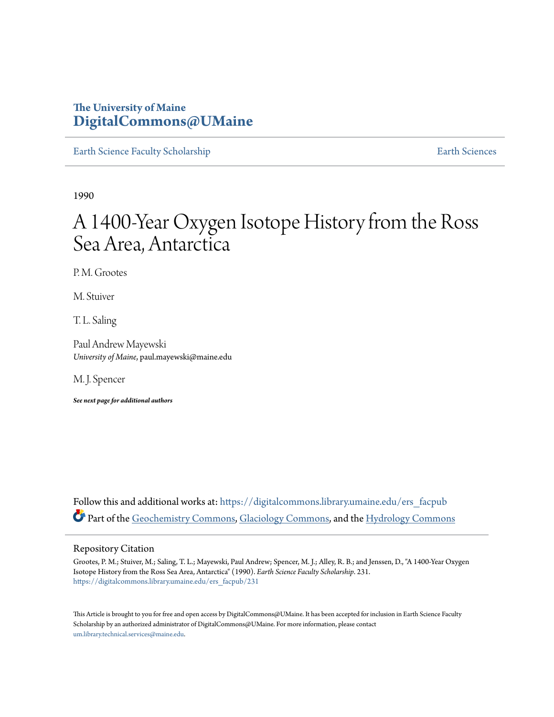# **The University of Maine [DigitalCommons@UMaine](https://digitalcommons.library.umaine.edu?utm_source=digitalcommons.library.umaine.edu%2Fers_facpub%2F231&utm_medium=PDF&utm_campaign=PDFCoverPages)**

[Earth Science Faculty Scholarship](https://digitalcommons.library.umaine.edu/ers_facpub?utm_source=digitalcommons.library.umaine.edu%2Fers_facpub%2F231&utm_medium=PDF&utm_campaign=PDFCoverPages) **[Earth Sciences](https://digitalcommons.library.umaine.edu/ers?utm_source=digitalcommons.library.umaine.edu%2Fers_facpub%2F231&utm_medium=PDF&utm_campaign=PDFCoverPages)** 

1990

# A 1400-Year Oxygen Isotope History from the Ross Sea Area, Antarctica

P. M. Grootes

M. Stuiver

T. L. Saling

Paul Andrew Mayewski *University of Maine*, paul.mayewski@maine.edu

M. J. Spencer

*See next page for additional authors*

Follow this and additional works at: [https://digitalcommons.library.umaine.edu/ers\\_facpub](https://digitalcommons.library.umaine.edu/ers_facpub?utm_source=digitalcommons.library.umaine.edu%2Fers_facpub%2F231&utm_medium=PDF&utm_campaign=PDFCoverPages) Part of the [Geochemistry Commons](http://network.bepress.com/hgg/discipline/157?utm_source=digitalcommons.library.umaine.edu%2Fers_facpub%2F231&utm_medium=PDF&utm_campaign=PDFCoverPages), [Glaciology Commons,](http://network.bepress.com/hgg/discipline/159?utm_source=digitalcommons.library.umaine.edu%2Fers_facpub%2F231&utm_medium=PDF&utm_campaign=PDFCoverPages) and the [Hydrology Commons](http://network.bepress.com/hgg/discipline/1054?utm_source=digitalcommons.library.umaine.edu%2Fers_facpub%2F231&utm_medium=PDF&utm_campaign=PDFCoverPages)

## Repository Citation

Grootes, P. M.; Stuiver, M.; Saling, T. L.; Mayewski, Paul Andrew; Spencer, M. J.; Alley, R. B.; and Jenssen, D., "A 1400-Year Oxygen Isotope History from the Ross Sea Area, Antarctica" (1990). *Earth Science Faculty Scholarship*. 231. [https://digitalcommons.library.umaine.edu/ers\\_facpub/231](https://digitalcommons.library.umaine.edu/ers_facpub/231?utm_source=digitalcommons.library.umaine.edu%2Fers_facpub%2F231&utm_medium=PDF&utm_campaign=PDFCoverPages)

This Article is brought to you for free and open access by DigitalCommons@UMaine. It has been accepted for inclusion in Earth Science Faculty Scholarship by an authorized administrator of DigitalCommons@UMaine. For more information, please contact [um.library.technical.services@maine.edu](mailto:um.library.technical.services@maine.edu).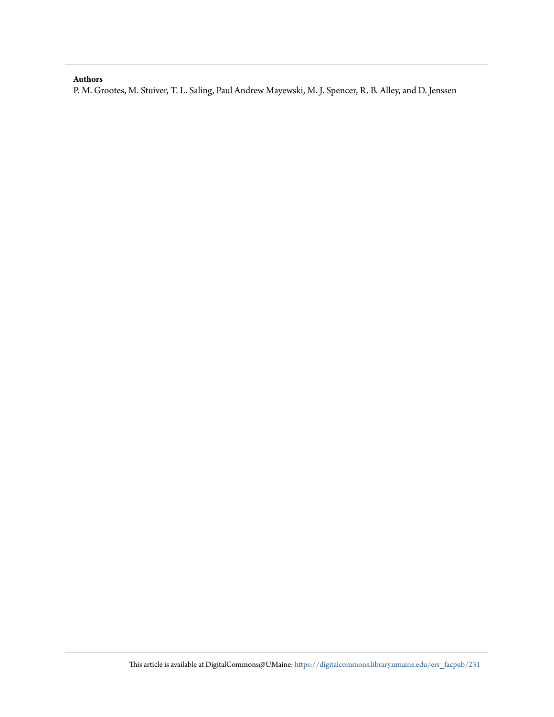## **Authors**

P. M. Grootes, M. Stuiver, T. L. Saling, Paul Andrew Mayewski, M. J. Spencer, R. B. Alley, and D. Jenssen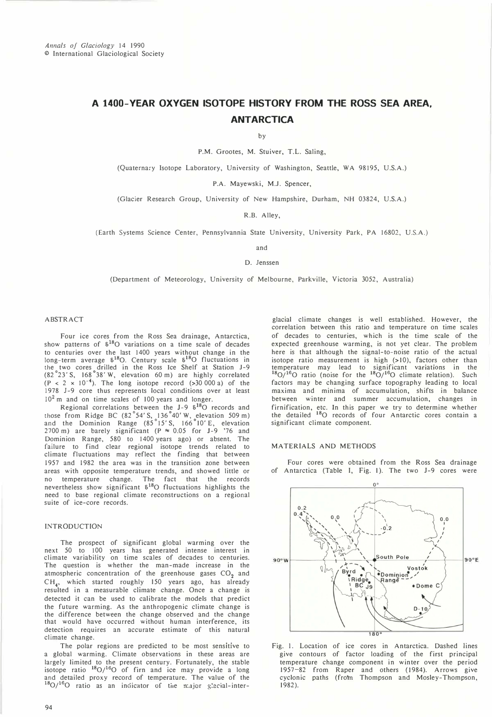# A 1400-YEAR OXYGEN ISOTOPE HISTORY FROM THE ROSS SEA AREA, **ANTARCTICA**

by

P.M. Grootes, M. Stuiver, T.L. Saling,

(Quaternary Isotope Laboratory, University of Washington, Seattle, WA 98195, U.S.A.)

P.A. Mayewski, M.J. Spencer,

(Glacier Research Group, University of New Hampshire, Durham, NH 03824, U.S.A.)

R.B. Alley,

(Earth Systems Science Center, Pennsylvannia State University, University Park, PA 16802, U.S.A.)

and

D. Jenssen

(Department of Meteorology, University of Melbourne, Parkville, Victoria 3052, Australia)

#### ABSTRACT

Four ice cores from the Ross Sea drainage, Antarctica, show patterns of  $\delta^{18}O$  variations on a time scale of decades to centuries over the last 1400 years without change in the long-term average  $\delta^{18}O$ . Century scale  $\delta^{18}O$  fluctuations in the two cores drilled in the Ross Ice Shelf at Station J-9 (82°23' S, 168° 38' W, elevation 60 m) are highly correlated  $(P < 2 \times 10^{-4})$ . The long isotope record (>30 000 a) of the 1978 1-9 core thus represents local conditions over at least  $10<sup>2</sup>$  m and on time scales of 100 years and longer.

Regional correlations between the J-9 8<sup>18</sup>O records and<br>those from Ridge BC (82°54'S, 136°40'W, elevation 509 m)<br>and the Dominion Range (85°15'S, 166°10'E, elevation 2700 m) are barely significant (P  $\approx$  0.05 for J-9 '76 and Dominion Range, 580 to 1400 years ago) or absent. The failure to find clear regional isotope trends related to climate fluctuations may reflect the finding that between 1957 and 1982 the area was in the transition zone between areas with opposite temperature trends, and showed little or no temperature change. The fact that the records nevertheless show significant  $\delta^{18}$ O fluctuations highlights the need to base regional climate reconstructions on a regional suite of ice-core records.

### INTRODUCTION

The prospect of significant global warming over the next 50 to 100 years has generated intense interest in climate variability on time scales of decades to centuries. The question is whether the man-made increase in the atmospheric concentration of the greenhouse gases  $CO<sub>2</sub>$  and CH4 , which started roughly 150 years ago, has already resulted in a measurable climate change. Once a change is detected it can be used to calibrate the models that predict the future warming. As the anthropogenic climate change is the difference between the change observed and the change that would have occurred without human interference, its detection requires an accurate estimate of this natural climate change.

The polar regions are predicted to be most sensitive to a global warming. Climate observations in these areas are largely limited to the present century. Fortunately, the stable isotope ratio  $^{18}O/^{16}O$  of firn and ice may provide a long and detailed proxy record of temperature. The value of the  $^{18}O/^{16}O$  ratio as an indicator of the major glacial-inter-

glacial climate changes is well established. However, the correlation between this ratio and temperature on time scales of decades to centuries, which is the time scale of the expected greenhouse warming, is not yet clear. The problem here is that although the signal-to-noise ratio of the actual isotope ratio measurement is high (>10), factors other than temperature may lead to significant variations in the  $^{18}O/^{16}O$  ratio (noise for the  $^{18}O/^{16}O$  climate relation). Such factors may be changing surface topography leading to local maxima and minima of accumulation, shifts in balance between winter and summer accumulation, changes in firnification, etc. In this paper we try to determine whether the detailed <sup>18</sup>O records of four Antarctic cores contain a significant climate component.

#### MA TERIALS AND METHODS

Four cores were obtained from the Ross Sea drainage of Antarctica (Table I, Fig. 1). The two J-9 cores were



Fig. I. Location of ice cores in Antarctica. Dashed lines give contours of factor loading of the first principal temperature change component in winter over the period 1957-82 from Raper and others (1984). Arrows give cyclonic paths (from Thompson and Mosley-Thompson, 1982).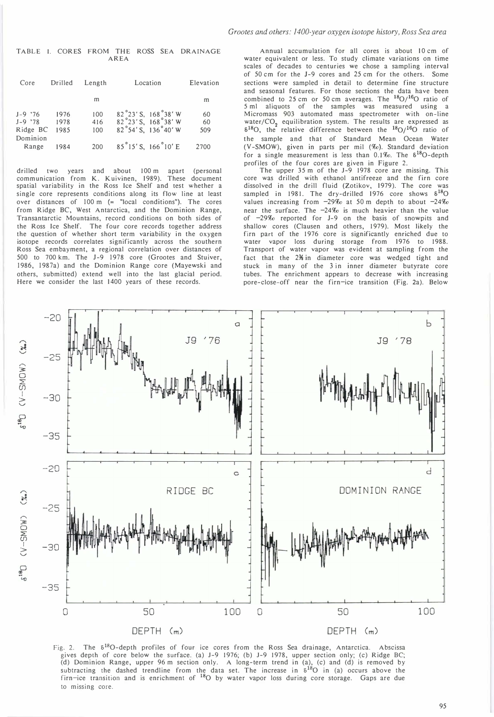TABLE I. CORES FROM THE ROSS SEA DRAINAGE AREA

| Core                                           | Drilled              | Length            | Location                                                      | Elevation       |  |
|------------------------------------------------|----------------------|-------------------|---------------------------------------------------------------|-----------------|--|
|                                                |                      | m                 |                                                               | m               |  |
| $J-9$ '76<br>$J-9$ '78<br>Ridge BC<br>Dominion | 1976<br>1978<br>1985 | 100<br>416<br>100 | 82°23' S, 168°38' W<br>82°23'S, 168°38'W<br>82°54'S, 136°40'W | 60<br>60<br>509 |  |
| Range                                          | 1984                 | 200               | 85°15'S, 166°10'E                                             | 2700            |  |

drilled two years and about 100 m apart (personal communication from K. Kuivinen, 1989). These document spatial variability in the Ross Ice Shelf and test whether a single core represents conditions along its flow line at least over distances of 100 m (= "local conditions"). The cores from Ridge BC, West Antarctica, and the Dominion Range, Transantarctic Mountains, record conditions on both sides of the Ross Ice Shelf. The four core records together address the question of whether short term variability in the oxygen isotope records correlates significantly across the southern Ross Sea embayment, a regional correlation over distances of 500 to 700 km. The J-9 1978 core (Grootes and Stuiver, 1986, 1987a) and the Dominion Range core (Mayewski and others, submitted) extend well into the last glacial period. Here we consider the last 1400 years of these records.

Annual accumulation for all cores is about 10 cm of water equivalent or less. To study climate variations on time scales of decades to centuries we chose a sampling interval of SO cm for the 1-9 cores and 2S cm for the others. Some sections were sampled in detail to determine fine structure and seasonal features. For those sections the data have been combined to 25 cm or 50 cm averages. The  $^{18}O/^{16}O$  ratio of 5 ml aliquots of the samples was measured using a Micromass 903 automated mass spectrometer with on-line water/CO<sub>2</sub> equilibration system. The results are expressed as  $\delta^{18}O$ , the relative difference between the  $\delta^{18}O/$ <sup>16</sup>O ratio of the sample and that of Standard Mean Ocean Water (V-SMOW), given in parts per mil (%). Standard deviation for a single measurement is less than  $0.1\%$ . The  $\delta^{18}$ O-depth profiles of the four cores are given in Figure 2.

The upper 35 m of the J-9 1978 core are missing. This core was drilled with ethanol antifreeze and the firn core dissolved in the drill fluid (Zotikov, 1979). The core was sampled in 1981. The dry-drilled 1976 core shows  $\delta^{18}$ O values increasing from  $-29\%$  at 50 m depth to about  $-24\%$ near the surface. The  $-24\%$  is much heavier than the value of -29% reported for J-9 on the basis of snowpits and shallow cores (Clausen and others, 1979). Most likely the firn part of the 1976 core is significantly enriched due to water vapor loss during storage from 1976 to 1988. Transport of water vapor was evident at sampling from the fact that the 2<sup>3</sup> in diameter core was wedged tight and stuck in many of the 3 in inner diameter butyrate core tubes. The enrichment appears to decrease with increasing pore-close-off near the firn-ice transition (Fig. 2a). Below



Fig. 2. The  $\delta^{18}O$ -depth profiles of four ice cores from the Ross Sea drainage, Antarctica. Abscissa gives depth of core below the surface. (a) J-9 1976; (b) J-9 1978, upper section only; (c) Ridge BC; (d) Dominion Range, upper 96 m section only. A long-term trend in (a), (c) and (d) is removed by subtracting the dashed trendline from the data set. The increase in  $\delta^{18}O$  in (a) occurs above the firn-ice transition and is enrichment of <sup>18</sup>O by water vapor loss during core storage. Gaps are due to missing core.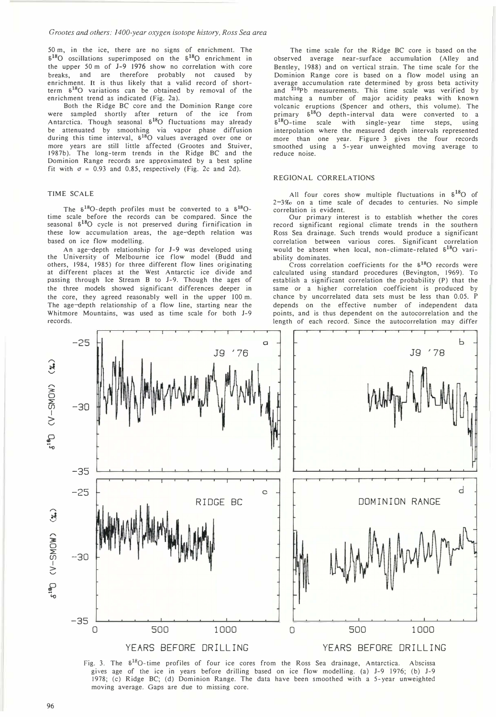50 m, in the ice, there are no signs of enrichment. The  $6^{18}$ O oscillations superimposed on the  $6^{18}$ O enrichment in the upper 50 m of J-9 1976 show no correlation with core breaks, and are therefore probably not caused by enrichment. It is thus likely that a valid record of shortterm 6 180 variations can be obtained by removal of the enrichment trend as indicated (Fig. 2a).

Both the Ridge BC core and the Dominion Range core were sampled shortly after return of the ice from Antarctica. Though seasonal  $\delta^{18}O$  fluctuations may already be attenuated by smoothing via vapor phase diffusion during this time interval, 6 180 values averaged over one or more years are still little affected (Grootes and Stuiver, 1987b). The long-term trends in the Ridge BC and the Dominion Range records are approximated by a best spline fit with  $\sigma = 0.93$  and 0.85, respectively (Fig. 2c and 2d).

#### TIME SCALE

The  $\delta^{18}O$ -depth profiles must be converted to a  $\delta^{18}O$ time scale before the records can be compared. Since the seasonal  $\delta^{18}$ O cycle is not preserved during firnification in these low accumulation areas, the age-depth relation was based on ice flow modelling.

An age-depth relationship for J-9 was developed using the University of Melbourne ice flow model (Budd and others, 1984, 1985) for three different flow lines originating at different places at the West Antarctic ice divide and passing through Ice Stream B to J-9. Though the ages of the three models showed significant differences deeper in the core, they agreed reasonably well in the upper 100 m. The age-depth relationship of a flow line, starting near the Whitmore Mountains, was used as time scale for both J-9 records.

The time scale for the Ridge BC core is based on the observed average near-surface accumulation (Alley and Bentley, 1988) and on vertical strain. The time scale for the Dominion Range core is based on a flow model using an average accumulation rate determined by gross beta activity<br>and <sup>210</sup>Pb measurements. This time scale was verified by matching a number of major acidity peaks with known volcanic eruptions (Spencer and others, this volume). The primary  $\delta^{18}$ O depth-interval data were converted to a  $\delta^{18}$ O-time scale with single-year time steps, using interpolation where the measured depth intervals represented more than one year. Figure 3 gives the four records smoothed using a 5-year unweighted moving average to reduce noise.

#### REGIONAL CORRELATIONS

All four cores show multiple fluctuations in  $\delta^{18}O$  of 2-3%0 on a time scale of decades to centuries. No simple correlation is evident.

Our primary interest is to establish whether the cores record significant regional climate trends in the southern Ross Sea drainage. Such trends would produce a significant correlation between various cores. Significant correlation would be absent when local, non-climate-related  $\delta^{18}$ O variability dominates.

Cross correlation coefficients for the  $\delta^{18}$ O records were calculated using standard procedures (Bevington, 1969). To establish a significant correlation the probability (P) that the same or a higher correlation coefficient is produced by chance by uncorrelated data sets must be less than 0.05. P depends on the effective number of independent data points, and is thus dependent on the autocorrelation and the length of each record. Since the autocorrelation may differ



Fig. 3. The  $\delta^{18}$ O-time profiles of four ice cores from the Ross Sea drainage, Antarctica. Abscissa gives age of the ice in years before drilling based on ice flow modelling. (a) J-9 1976; (b) J-9 1978; (c) Ridge BC; (d) Dominion Range. The data have been smoothed with a 5-year unweighted moving average. Gaps are due to missing core.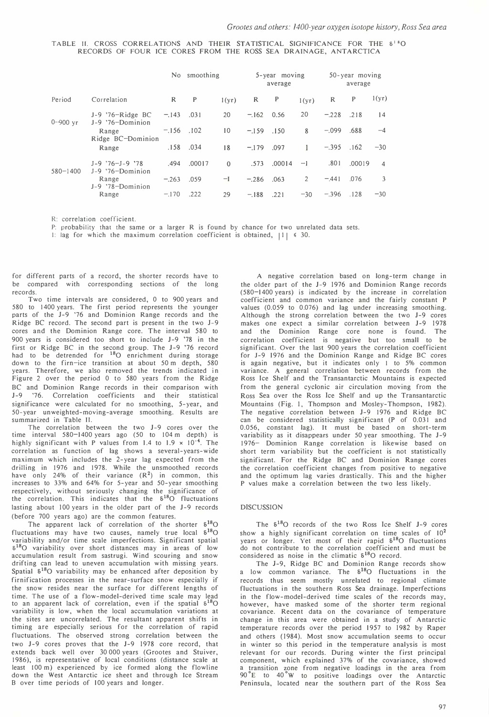TABLE 11. CROSS CORRELATIONS AND THEIR STATISTICAL SIGNIFICANCE FOR THE 51'0 RECORDS OF FOUR ICE CORES FROM THE ROSS SEA DRAINAGE, ANTARCTICA

|                      |                                                                               |             | No smoothing |          |         | 5-year moving<br>average |                |         | $50 - year$ moving<br>average |                |
|----------------------|-------------------------------------------------------------------------------|-------------|--------------|----------|---------|--------------------------|----------------|---------|-------------------------------|----------------|
| Period               | Correlation                                                                   | R           | P            | 1(yr)    | R       | P                        | 1(yr)          | R       | P                             | 1(yr)          |
| $0 - 900 \text{ yr}$ | $J-9$ '76-Ridge BC<br>J-9 '76-Dominion<br>Range<br>Ridge BC-Dominion<br>Range | $-.143$     | .031         | 20       | $-162$  | 0.56                     | 20             | $-.228$ | .218                          | 14             |
|                      |                                                                               | $-156$ .102 |              | 10       | $-159$  | .150                     | 8              | $-.099$ | .688                          | $-4$           |
|                      |                                                                               |             | .158.034     | 18       | $-179$  | .097                     | $\mathbf{1}$   | $-.395$ | .162                          | $-30$          |
| $580 - 1400$         | $J-9$ '76-J-9 '78<br>J-9 '76-Dominion<br>Range<br>J-9 '78-Dominion<br>Range   | .494        | .00017       | $\Omega$ | .573    | .00014                   | $-1$           | .801    | .00019                        | $\overline{4}$ |
|                      |                                                                               | $-.263$     | .059         | $-I$     | $-.286$ | .063                     | $\overline{2}$ | $-441$  | .076                          | 3              |
|                      |                                                                               | $-170$      | .222         | 29       | $-.188$ | .221                     | $-30$          | $-.396$ | .128                          | $-30$          |

R: correlation coefficient.

P: probability that the same or a larger R is found by chance for two unrelated data sets.

I: lag for which the maximum correlation coefficient is obtained,  $|1| \le 30$ .

for different parts of a record, the shorter records have to be compared with corresponding sections of the long records.

Two time intervals are considered, 0 to 900 years and 580 to 1400 years. The first period represents the younger parts of the J-9 '76 and Dominion Range records and the Ridge BC record. The second part is present in the two J-9 cores and the Dominion Range core. The interval 580 to 900 years is considered too short to include 1-9 '78 in the first or Ridge BC in the second group. The 1-9 '76 record had to be detrended for <sup>18</sup>O enrichment during storage down to the firn-ice transition at about 50 m depth, 580 years. Therefore, we also removed the trends indicated in Figure 2 over the period 0 to 580 years from the Ridge BC and Dominion Range records in their comparison with J-9 '76. Correlation coefficients and their statistical significance were calculated for no smoothing, 5-year, and 50-year unweighted-moving-average smoothing. Results are summarized in Table H.

The correlation between the two 1-9 cores over the time interval 580-1400 years ago (50 to 104 m depth) is highly significant with P values from 1.4 to 1.9  $\times$  10<sup>-4</sup>. The correlation as function of lag shows a several-years-wide maximum which includes the 2-year lag expected from the drilling in 1976 and 1978. While the unsmoothed records have only 24% of their variance  $(R^2)$  in common, this increases to 33% and 64% for 5-year and 50-year smoothing respectively, without seriously changing the significance of the correlation. This indicates that the  $\delta^{18}O$  fluctuations lasting about 100 years in the older part of the 1-9 records (before 700 years ago) are the common features.

The apparent lack of correlation of the shorter  $\delta^{18}O$ fluctuations may have two causes, namely true local  $\delta^{18}O$ variability and/or time scale imperfections. Significant spatial 5180 variability over short distances may in areas of low accumulation result from sastrugi. Wind scouring and snow drifting can lead to uneven accumulation with missing years. Spatial  $\delta^{18}$ O variability may be enhanced after deposition by firnification processes in the near-surface snow especially if the snow resides near the surface for different lengths of time. The use of a flow-model-derived time scale may lead to an apparent lack of correlation, even if the spatial  $\delta^{18}O$ variability is low, when the local accumulation variations at the sites are uncorrelated. The resultant apparent shifts in timing are especially serious for the correlation of rapid fluctuations. The observed strong correlation between the two 1-9 cores proves that the 1-9 1978 core record, that extends back well over 30 000 years (Grootes and Stuiver, 1986), is representative of local conditions (distance scale at least 100 m) experienced by ice formed along the flowline down the West Antarctic ice sheet and through Ice Stream B over time periods of 100 years and longer.

A negative correlation based on long-term change in the older part of the 1-9 1976 and Dominion Range records (580-1400 years) is indicated by the increase in correlation coefficient and common variance and the fairly constant P values (0.059 to 0.076) and lag under increasing smoothing. Although the strong correlation between the two 1-9 cores makes one expect a similar correlation between 1-9 1978 and the Dominion Range core none is found. The correlation coefficient is negative but too small to be significant. Over the last 900 years the correlation coefficient for J-9 1976 and the Dominion Range and Ridge BC cores is again negative, but it indicates only I to 5% common variance. A general correlation between records from the Ross Ice Shelf and the Transantarctic Mountains is expected from the general cyclonic air circulation moving from the Ross Sea over the Ross Ice Shelf and up the Transantarctic Mountains (Fig. I, Thompson and Mosley-Thompson, 1982). The negative correlation between 1-9 1976 and Ridge BC can be considered statistically significant (P of 0.031 and 0.056, constant lag). It must be based on short-term variability as it disappears under 50 year smoothing. The 1-9 1976- Dominion Range correlation is likewise based on short term variability but the coefficient is not statistically significant. For the Ridge BC and Dominion Range cores the correlation coefficient changes from positive to negative and the optimum lag varies drastically. This and the higher P values make a correlation between the two less likely.

#### DISCUSSION

The  $\delta^{18}$ O records of the two Ross Ice Shelf J-9 cores show a highly significant correlation on time scales of  $10^2$ years or longer. Yet most of their rapid  $\delta^{18}O$  fluctuations do not contribute to the correlation coefficient and must be considered as noise in the climatic  $\delta^{18}O$  record.

The J-9, Ridge BC and Dominion Range records show a low common variance. The  $\delta^{18}$ O fluctuations in the records thus seem mostly unrelated to regional climate fluctuations in the southern Ross Sea drainage. Imperfections in the f1ow-model-derived time scales of the records may, however, have masked some of the shorter term regional covariance. Recent data on the covariance of temperature change in this area were obtained in a study of Antarctic temperature records over the period 1957 to 1982 by Raper and others (1984). Most snow accumulation seems to occur in winter so this period in the temperature analysis is most relevant for our records. During winter the first principal component, which explained 37% of the covariance, showed a transition zone from negative loadings in the area from a transition zone from negative loadings in the area from Peninsula, located near the southern part of the Ross Sea